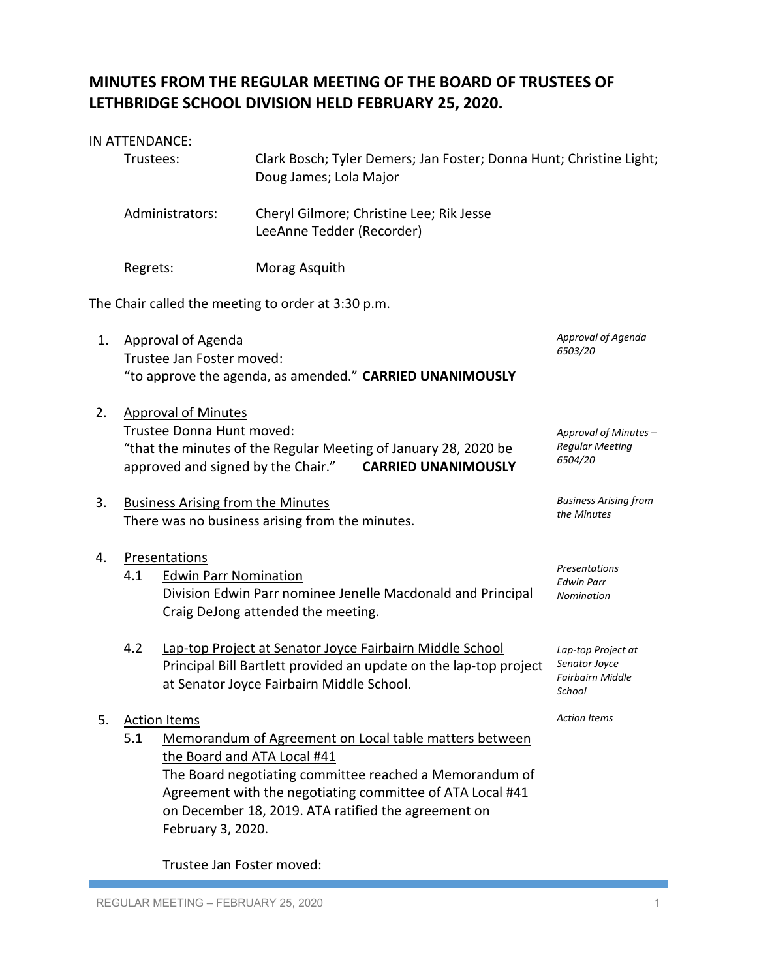# **MINUTES FROM THE REGULAR MEETING OF THE BOARD OF TRUSTEES OF LETHBRIDGE SCHOOL DIVISION HELD FEBRUARY 25, 2020.**

### IN ATTENDANCE:

|    | Trustees:                                                                                                                                                                                                                                                    |                                                                         | Clark Bosch; Tyler Demers; Jan Foster; Donna Hunt; Christine Light;<br>Doug James; Lola Major                                                                                                                                         |                                                                          |  |
|----|--------------------------------------------------------------------------------------------------------------------------------------------------------------------------------------------------------------------------------------------------------------|-------------------------------------------------------------------------|---------------------------------------------------------------------------------------------------------------------------------------------------------------------------------------------------------------------------------------|--------------------------------------------------------------------------|--|
|    |                                                                                                                                                                                                                                                              | Administrators:                                                         | Cheryl Gilmore; Christine Lee; Rik Jesse<br>LeeAnne Tedder (Recorder)                                                                                                                                                                 |                                                                          |  |
|    | Regrets:                                                                                                                                                                                                                                                     |                                                                         | Morag Asquith                                                                                                                                                                                                                         |                                                                          |  |
|    |                                                                                                                                                                                                                                                              |                                                                         | The Chair called the meeting to order at 3:30 p.m.                                                                                                                                                                                    |                                                                          |  |
| 1. | <b>Approval of Agenda</b><br>6503/20<br>Trustee Jan Foster moved:<br>"to approve the agenda, as amended." CARRIED UNANIMOUSLY                                                                                                                                |                                                                         |                                                                                                                                                                                                                                       | Approval of Agenda                                                       |  |
| 2. | <b>Approval of Minutes</b><br>Trustee Donna Hunt moved:<br>Approval of Minutes -<br><b>Regular Meeting</b><br>"that the minutes of the Regular Meeting of January 28, 2020 be<br>6504/20<br>approved and signed by the Chair."<br><b>CARRIED UNANIMOUSLY</b> |                                                                         |                                                                                                                                                                                                                                       |                                                                          |  |
| 3. | <b>Business Arising from</b><br><b>Business Arising from the Minutes</b><br>the Minutes<br>There was no business arising from the minutes.                                                                                                                   |                                                                         |                                                                                                                                                                                                                                       |                                                                          |  |
| 4. | 4.1                                                                                                                                                                                                                                                          | Presentations<br><b>Edwin Parr Nomination</b>                           | Division Edwin Parr nominee Jenelle Macdonald and Principal<br>Craig DeJong attended the meeting.                                                                                                                                     | Presentations<br><b>Edwin Parr</b><br>Nomination                         |  |
|    | 4.2                                                                                                                                                                                                                                                          |                                                                         | Lap-top Project at Senator Joyce Fairbairn Middle School<br>Principal Bill Bartlett provided an update on the lap-top project<br>at Senator Joyce Fairbairn Middle School.                                                            | Lap-top Project at<br>Senator Joyce<br><b>Fairbairn Middle</b><br>School |  |
| 5. | 5.1                                                                                                                                                                                                                                                          | <b>Action Items</b><br>the Board and ATA Local #41<br>February 3, 2020. | Memorandum of Agreement on Local table matters between<br>The Board negotiating committee reached a Memorandum of<br>Agreement with the negotiating committee of ATA Local #41<br>on December 18, 2019. ATA ratified the agreement on | <b>Action Items</b>                                                      |  |

Trustee Jan Foster moved: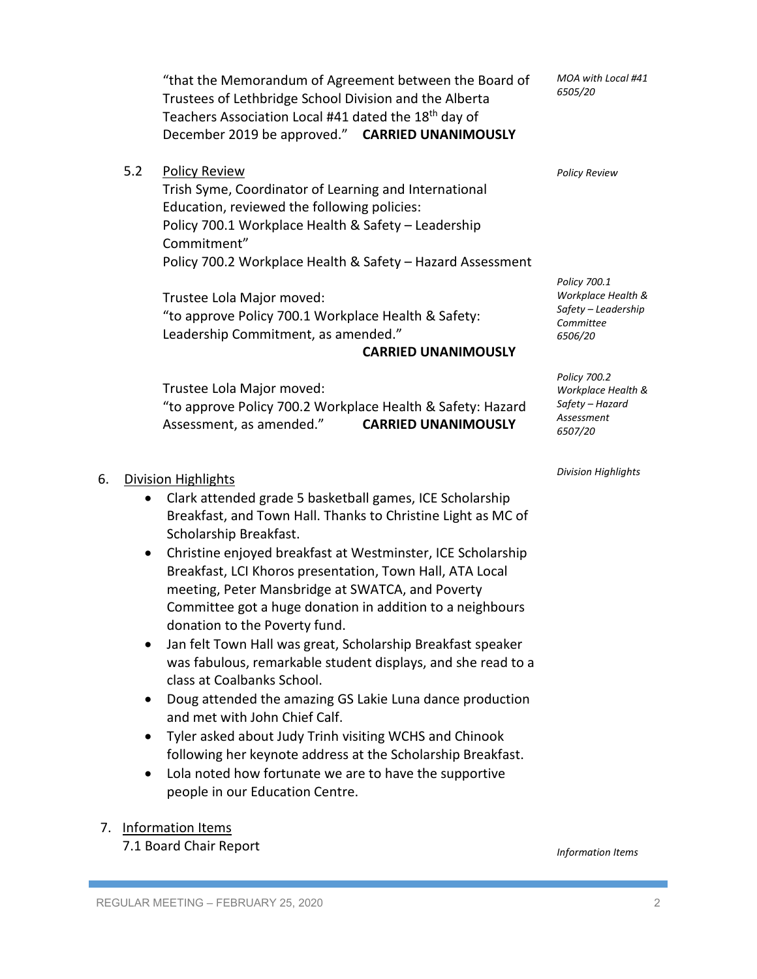"that the Memorandum of Agreement between the Board of Trustees of Lethbridge School Division and the Alberta Teachers Association Local #41 dated the 18th day of December 2019 be approved." **CARRIED UNANIMOUSLY**

5.2 Policy Review

Trish Syme, Coordinator of Learning and International Education, reviewed the following policies: Policy 700.1 Workplace Health & Safety – Leadership Commitment" Policy 700.2 Workplace Health & Safety – Hazard Assessment

Trustee Lola Major moved: "to approve Policy 700.1 Workplace Health & Safety: Leadership Commitment, as amended."

#### **CARRIED UNANIMOUSLY**

Trustee Lola Major moved: "to approve Policy 700.2 Workplace Health & Safety: Hazard Assessment, as amended." **CARRIED UNANIMOUSLY**

*Division Highlights*

*Policy Review*

*MOA with Local #41*

*6505/20*

*Policy 700.1 Workplace Health & Safety – Leadership Committee 6506/20*

*Policy 700.2 Workplace Health & Safety – Hazard Assessment 6507/20*

## 6. Division Highlights

- Clark attended grade 5 basketball games, ICE Scholarship Breakfast, and Town Hall. Thanks to Christine Light as MC of Scholarship Breakfast.
- Christine enjoyed breakfast at Westminster, ICE Scholarship Breakfast, LCI Khoros presentation, Town Hall, ATA Local meeting, Peter Mansbridge at SWATCA, and Poverty Committee got a huge donation in addition to a neighbours donation to the Poverty fund.
- Jan felt Town Hall was great, Scholarship Breakfast speaker was fabulous, remarkable student displays, and she read to a class at Coalbanks School.
- Doug attended the amazing GS Lakie Luna dance production and met with John Chief Calf.
- Tyler asked about Judy Trinh visiting WCHS and Chinook following her keynote address at the Scholarship Breakfast.
- Lola noted how fortunate we are to have the supportive people in our Education Centre.

## 7. Information Items

7.1 Board Chair Report

*Information Items*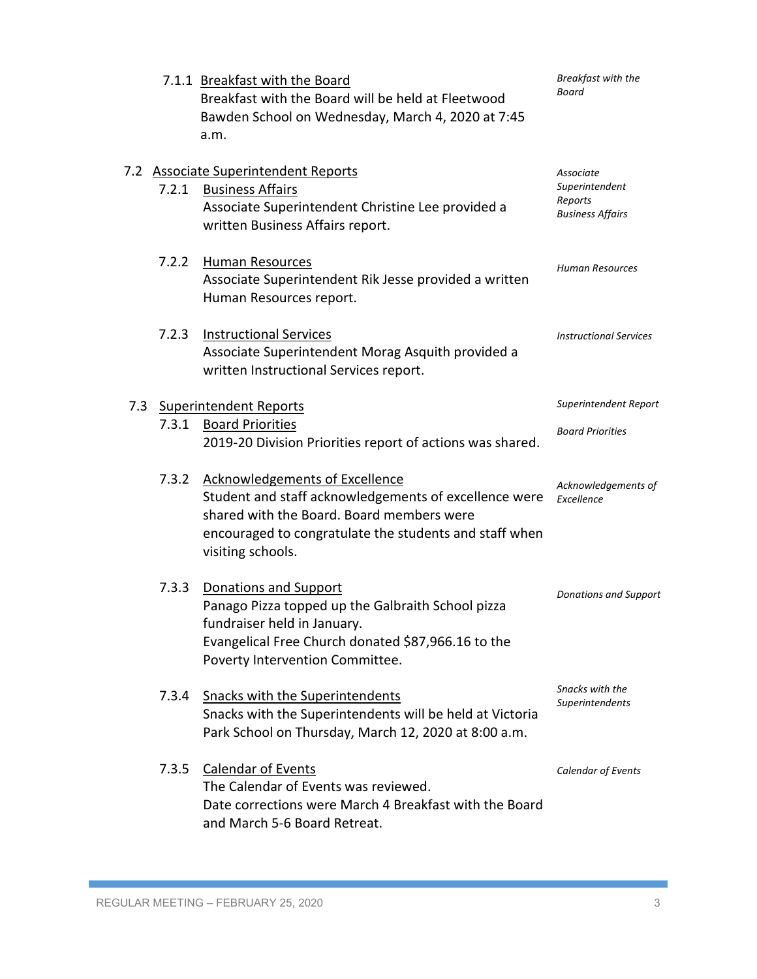|     |       | 7.1.1 Breakfast with the Board<br>Breakfast with the Board will be held at Fleetwood<br>Bawden School on Wednesday, March 4, 2020 at 7:45<br>a.m.                                                                   | Breakfast with the<br>Board                                       |
|-----|-------|---------------------------------------------------------------------------------------------------------------------------------------------------------------------------------------------------------------------|-------------------------------------------------------------------|
|     | 7.2.1 | 7.2 Associate Superintendent Reports<br><b>Business Affairs</b><br>Associate Superintendent Christine Lee provided a<br>written Business Affairs report.                                                            | Associate<br>Superintendent<br>Reports<br><b>Business Affairs</b> |
|     | 7.2.2 | Human Resources<br>Associate Superintendent Rik Jesse provided a written<br>Human Resources report.                                                                                                                 | Human Resources                                                   |
|     | 7.2.3 | <b>Instructional Services</b><br>Associate Superintendent Morag Asquith provided a<br>written Instructional Services report.                                                                                        | <b>Instructional Services</b>                                     |
| 7.3 |       | <b>Superintendent Reports</b>                                                                                                                                                                                       | Superintendent Report                                             |
|     | 7.3.1 | <b>Board Priorities</b><br>2019-20 Division Priorities report of actions was shared.                                                                                                                                | <b>Board Priorities</b>                                           |
|     | 7.3.2 | Acknowledgements of Excellence<br>Student and staff acknowledgements of excellence were<br>shared with the Board. Board members were<br>encouraged to congratulate the students and staff when<br>visiting schools. | Acknowledgements of<br>Excellence                                 |
|     | 7.3.3 | Donations and Support<br>Panago Pizza topped up the Galbraith School pizza<br>fundraiser held in January.<br>Evangelical Free Church donated \$87,966.16 to the<br>Poverty Intervention Committee.                  | <b>Donations and Support</b>                                      |
|     | 7.3.4 | <b>Snacks with the Superintendents</b><br>Snacks with the Superintendents will be held at Victoria<br>Park School on Thursday, March 12, 2020 at 8:00 a.m.                                                          | Snacks with the<br>Superintendents                                |
|     |       | 7.3.5 Calendar of Events<br>The Calendar of Events was reviewed.<br>Date corrections were March 4 Breakfast with the Board<br>and March 5-6 Board Retreat.                                                          | Calendar of Events                                                |